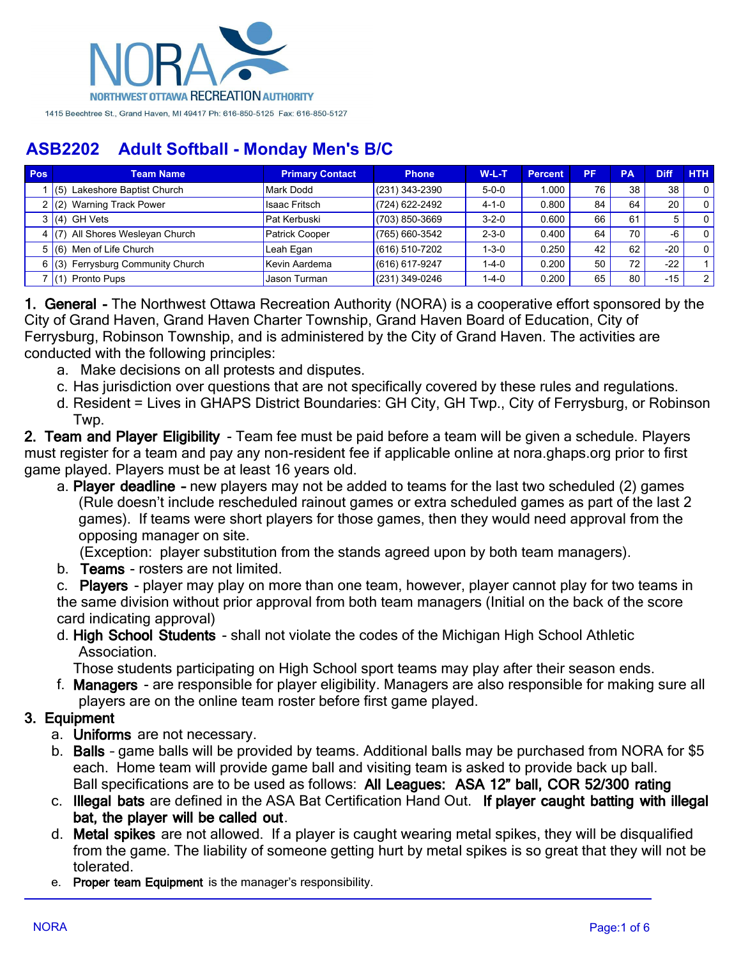

| <b>Pos</b> | <b>Team Name</b>                   | <b>Primary Contact</b> | <b>Phone</b>       | $W-L-T$     | <b>Percent</b> | <b>PF</b> | <b>PA</b> | <b>Diff</b> | <b>HTH</b>     |
|------------|------------------------------------|------------------------|--------------------|-------------|----------------|-----------|-----------|-------------|----------------|
|            | $(5)$ Lakeshore Baptist Church     | <b>Mark Dodd</b>       | $(231)$ 343-2390   | $5 - 0 - 0$ | 1.000          | 76        | 38        | 38          | $\Omega$       |
|            | (2) Warning Track Power            | <b>Isaac Fritsch</b>   | (724) 622-2492     | $4 - 1 - 0$ | 0.800          | 84        | 64        | 20          | $\Omega$       |
|            | $(4)$ GH Vets                      | Pat Kerbuski           | (703) 850-3669     | $3 - 2 - 0$ | 0.600          | 66        | 61        | 5           | $\Omega$       |
|            | 4 $(7)$ All Shores Wesleyan Church | <b>Patrick Cooper</b>  | $(765)$ 660-3542   | $2 - 3 - 0$ | 0.400          | 64        | 70        | -6          | $\Omega$       |
|            | $5(6)$ Men of Life Church          | Leah Egan              | $(616) 510 - 7202$ | $1 - 3 - 0$ | 0.250          | 42        | 62        | $-20$       | $\Omega$       |
|            | $(3)$ Ferrysburg Community Church  | Kevin Aardema          | (616) 617-9247     | $1 - 4 - 0$ | 0.200          | 50        | 72        | $-22$       |                |
|            | $(1)$ Pronto Pups                  | Jason Turman           | $(231)$ 349-0246   | $1 - 4 - 0$ | 0.200          | 65        | 80        | $-15$       | 2 <sub>1</sub> |

**1. General -** The Northwest Ottawa Recreation Authority (NORA) is a cooperative effort sponsored by the City of Grand Haven, Grand Haven Charter Township, Grand Haven Board of Education, City of Ferrysburg, Robinson Township, and is administered by the City of Grand Haven. The activities are conducted with the following principles:

- a. Make decisions on all protests and disputes.
- c. Has jurisdiction over questions that are not specifically covered by these rules and regulations.
- d. Resident = Lives in GHAPS District Boundaries: GH City, GH Twp., City of Ferrysburg, or Robinson Twp.

**2. Team and Player Eligibility** - Team fee must be paid before a team will be given a schedule. Players must register for a team and pay any non-resident fee if applicable online at nora.ghaps.org prior to first game played. Players must be at least 16 years old.

a. **Player deadline –** new players may not be added to teams for the last two scheduled (2) games (Rule doesn't include rescheduled rainout games or extra scheduled games as part of the last 2 games). If teams were short players for those games, then they would need approval from the opposing manager on site.

(Exception: player substitution from the stands agreed upon by both team managers).

b. **Teams** - rosters are not limited.

c. **Players** - player may play on more than one team, however, player cannot play for two teams in the same division without prior approval from both team managers (Initial on the back of the score card indicating approval)

d. **High School Students** - shall not violate the codes of the Michigan High School Athletic Association.

Those students participating on High School sport teams may play after their season ends.

f. **Managers** - are responsible for player eligibility. Managers are also responsible for making sure all players are on the online team roster before first game played.

### **3. Equipment**

- a. **Uniforms** are not necessary.
- b. **Balls** game balls will be provided by teams. Additional balls may be purchased from NORA for \$5 each. Home team will provide game ball and visiting team is asked to provide back up ball. Ball specifications are to be used as follows: **All Leagues: ASA 12" ball, COR 52/300 rating**
- c. **Illegal bats** are defined in the ASA Bat Certification Hand Out. **If player caught batting with illegal bat, the player will be called out**.
- d. **Metal spikes** are not allowed. If a player is caught wearing metal spikes, they will be disqualified from the game. The liability of someone getting hurt by metal spikes is so great that they will not be tolerated.
- e. **Proper team Equipment** is the manager's responsibility.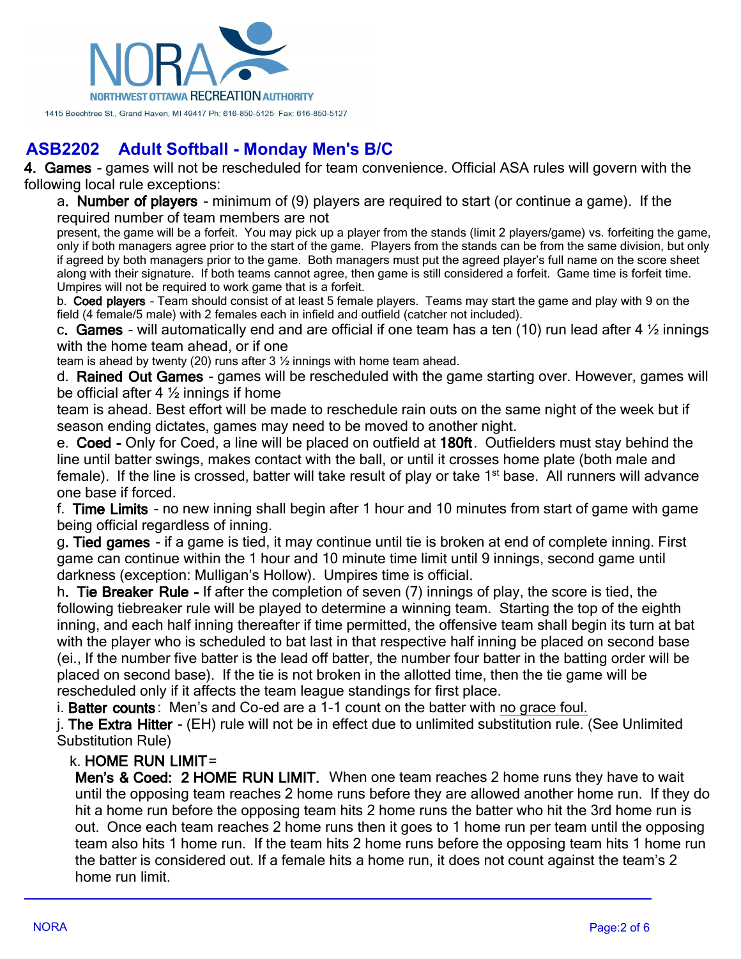

**4. Games** - games will not be rescheduled for team convenience. Official ASA rules will govern with the following local rule exceptions:

a**. Number of players** - minimum of (9) players are required to start (or continue a game). If the required number of team members are not

present, the game will be a forfeit. You may pick up a player from the stands (limit 2 players/game) vs. forfeiting the game, only if both managers agree prior to the start of the game. Players from the stands can be from the same division, but only if agreed by both managers prior to the game. Both managers must put the agreed player's full name on the score sheet along with their signature. If both teams cannot agree, then game is still considered a forfeit. Game time is forfeit time. Umpires will not be required to work game that is a forfeit.

b. **Coed players** – Team should consist of at least 5 female players. Teams may start the game and play with 9 on the field (4 female/5 male) with 2 females each in infield and outfield (catcher not included).

c**. Games** - will automatically end and are official if one team has a ten (10) run lead after 4 ½ innings with the home team ahead, or if one

team is ahead by twenty (20) runs after 3 ½ innings with home team ahead.

d. **Rained Out Games** - games will be rescheduled with the game starting over. However, games will be official after 4 ½ innings if home

team is ahead. Best effort will be made to reschedule rain outs on the same night of the week but if season ending dictates, games may need to be moved to another night.

e. **Coed -** Only for Coed, a line will be placed on outfield at **180ft**. Outfielders must stay behind the line until batter swings, makes contact with the ball, or until it crosses home plate (both male and female). If the line is crossed, batter will take result of play or take 1<sup>st</sup> base. All runners will advance one base if forced.

f. **Time Limits** - no new inning shall begin after 1 hour and 10 minutes from start of game with game being official regardless of inning.

g**. Tied games** - if a game is tied, it may continue until tie is broken at end of complete inning. First game can continue within the 1 hour and 10 minute time limit until 9 innings, second game until darkness (exception: Mulligan's Hollow). Umpires time is official.

h**. Tie Breaker Rule -** If after the completion of seven (7) innings of play, the score is tied, the following tiebreaker rule will be played to determine a winning team. Starting the top of the eighth inning, and each half inning thereafter if time permitted, the offensive team shall begin its turn at bat with the player who is scheduled to bat last in that respective half inning be placed on second base (ei., If the number five batter is the lead off batter, the number four batter in the batting order will be placed on second base). If the tie is not broken in the allotted time, then the tie game will be rescheduled only if it affects the team league standings for first place.

i. **Batter counts** : Men's and Co-ed are a 1-1 count on the batter with no grace foul.

j. **The Extra Hitter** - (EH) rule will not be in effect due to unlimited substitution rule. (See Unlimited Substitution Rule)

### k. **HOME RUN LIMIT**=

**Men's & Coed: 2 HOME RUN LIMIT.** When one team reaches 2 home runs they have to wait until the opposing team reaches 2 home runs before they are allowed another home run. If they do hit a home run before the opposing team hits 2 home runs the batter who hit the 3rd home run is out. Once each team reaches 2 home runs then it goes to 1 home run per team until the opposing team also hits 1 home run. If the team hits 2 home runs before the opposing team hits 1 home run the batter is considered out. If a female hits a home run, it does not count against the team's 2 home run limit.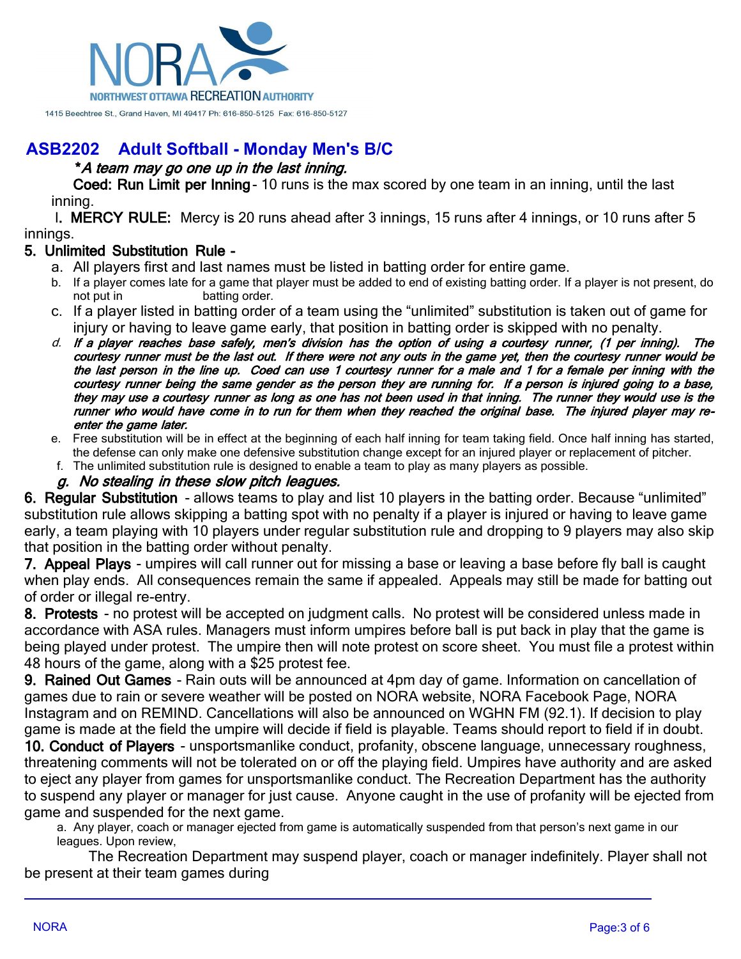

### **\****A team may go one up in the last inning.*

**Coed: Run Limit per Inning**- 10 runs is the max scored by one team in an inning, until the last inning.

l**. MERCY RULE:** Mercy is 20 runs ahead after 3 innings, 15 runs after 4 innings, or 10 runs after 5 innings.

### **5. Unlimited Substitution Rule -**

- a. All players first and last names must be listed in batting order for entire game.
- b. If a player comes late for a game that player must be added to end of existing batting order. If a player is not present, do not put in batting order.
- c. If a player listed in batting order of a team using the "unlimited" substitution is taken out of game for injury or having to leave game early, that position in batting order is skipped with no penalty.
- *d. If a player reaches base safely, men's division has the option of using a courtesy runner, (1 per inning). The courtesy runner must be the last out. If there were not any outs in the game yet, then the courtesy runner would be the last person in the line up. Coed can use 1 courtesy runner for a male and 1 for a female per inning with the courtesy runner being the same gender as the person they are running for. If a person is injured going to a base, they may use a courtesy runner as long as one has not been used in that inning. The runner they would use is the runner who would have come in to run for them when they reached the original base. The injured player may reenter the game later.*
- e. Free substitution will be in effect at the beginning of each half inning for team taking field. Once half inning has started, the defense can only make one defensive substitution change except for an injured player or replacement of pitcher.
- f. The unlimited substitution rule is designed to enable a team to play as many players as possible.

#### *g. No stealing in these slow pitch leagues.*

**6. Regular Substitution** - allows teams to play and list 10 players in the batting order. Because "unlimited" substitution rule allows skipping a batting spot with no penalty if a player is injured or having to leave game early, a team playing with 10 players under regular substitution rule and dropping to 9 players may also skip that position in the batting order without penalty.

**7. Appeal Plays** - umpires will call runner out for missing a base or leaving a base before fly ball is caught when play ends. All consequences remain the same if appealed. Appeals may still be made for batting out of order or illegal re-entry.

**8. Protests** - no protest will be accepted on judgment calls. No protest will be considered unless made in accordance with ASA rules. Managers must inform umpires before ball is put back in play that the game is being played under protest. The umpire then will note protest on score sheet. You must file a protest within 48 hours of the game, along with a \$25 protest fee.

**9. Rained Out Games** - Rain outs will be announced at 4pm day of game. Information on cancellation of games due to rain or severe weather will be posted on NORA website, NORA Facebook Page, NORA Instagram and on REMIND. Cancellations will also be announced on WGHN FM (92.1). If decision to play game is made at the field the umpire will decide if field is playable. Teams should report to field if in doubt.

**10. Conduct of Players** - unsportsmanlike conduct, profanity, obscene language, unnecessary roughness, threatening comments will not be tolerated on or off the playing field. Umpires have authority and are asked to eject any player from games for unsportsmanlike conduct. The Recreation Department has the authority to suspend any player or manager for just cause. Anyone caught in the use of profanity will be ejected from game and suspended for the next game.

a. Any player, coach or manager ejected from game is automatically suspended from that person's next game in our leagues. Upon review,

 The Recreation Department may suspend player, coach or manager indefinitely. Player shall not be present at their team games during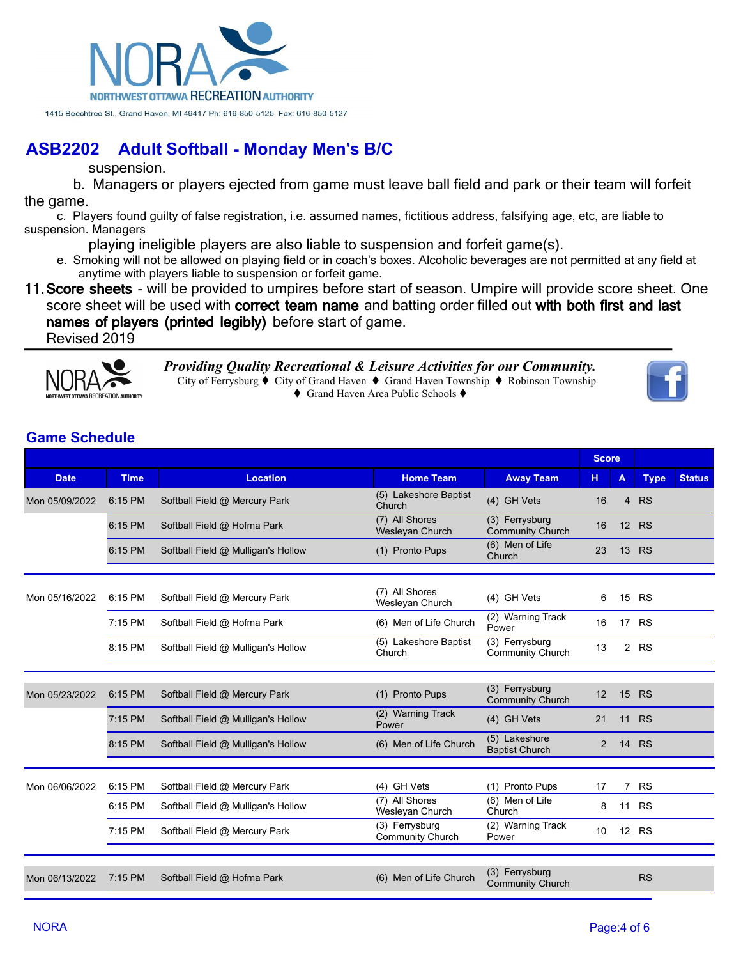

suspension.

 b. Managers or players ejected from game must leave ball field and park or their team will forfeit the game.

c. Players found guilty of false registration, i.e. assumed names, fictitious address, falsifying age, etc, are liable to suspension. Managers

playing ineligible players are also liable to suspension and forfeit game(s).

e. Smoking will not be allowed on playing field or in coach's boxes. Alcoholic beverages are not permitted at any field at anytime with players liable to suspension or forfeit game.

**11.Score sheets** - will be provided to umpires before start of season. Umpire will provide score sheet. One score sheet will be used with **correct team name** and batting order filled out **with both first and last names of players (printed legibly)** before start of game. Revised 2019



*Providing Quality Recreational & Leisure Activities for our Community.* City of Ferrysburg  $\blacklozenge$  City of Grand Haven  $\blacklozenge$  Grand Haven Township  $\blacklozenge$  Robinson Township ◆ Grand Haven Area Public Schools ◆



## **Game Schedule**

|                |             |                                    |                                           |                                           | <b>Score</b> |                |             |               |
|----------------|-------------|------------------------------------|-------------------------------------------|-------------------------------------------|--------------|----------------|-------------|---------------|
| <b>Date</b>    | <b>Time</b> | <b>Location</b>                    | <b>Home Team</b>                          | <b>Away Team</b>                          | н            | A              | <b>Type</b> | <b>Status</b> |
| Mon 05/09/2022 | 6:15 PM     | Softball Field @ Mercury Park      | (5) Lakeshore Baptist<br>Church           | (4) GH Vets                               | 16           | $\overline{4}$ | <b>RS</b>   |               |
|                | 6:15 PM     | Softball Field @ Hofma Park        | (7) All Shores<br>Wesleyan Church         | (3) Ferrysburg<br><b>Community Church</b> | 16           | 12             | <b>RS</b>   |               |
|                | 6:15 PM     | Softball Field @ Mulligan's Hollow | (1) Pronto Pups                           | (6) Men of Life<br>Church                 | 23           |                | 13 RS       |               |
|                |             |                                    | (7) All Shores                            |                                           |              |                |             |               |
| Mon 05/16/2022 | 6:15 PM     | Softball Field @ Mercury Park      | Wesleyan Church                           | (4) GH Vets                               | 6            |                | 15 RS       |               |
|                | 7:15 PM     | Softball Field @ Hofma Park        | (6) Men of Life Church                    | (2) Warning Track<br>Power                | 16           |                | 17 RS       |               |
|                | 8:15 PM     | Softball Field @ Mulligan's Hollow | (5) Lakeshore Baptist<br>Church           | (3) Ferrysburg<br><b>Community Church</b> | 13           |                | 2 RS        |               |
|                |             |                                    |                                           |                                           |              |                |             |               |
| Mon 05/23/2022 | 6:15 PM     | Softball Field @ Mercury Park      | (1) Pronto Pups                           | (3) Ferrysburg<br>Community Church        | 12           | 15             | <b>RS</b>   |               |
|                | 7:15 PM     | Softball Field @ Mulligan's Hollow | (2) Warning Track<br>Power                | (4) GH Vets                               | 21           | 11             | <b>RS</b>   |               |
|                | 8:15 PM     | Softball Field @ Mulligan's Hollow | (6) Men of Life Church                    | (5) Lakeshore<br><b>Baptist Church</b>    | 2            | 14             | <b>RS</b>   |               |
|                |             |                                    |                                           |                                           |              |                |             |               |
| Mon 06/06/2022 | 6:15 PM     | Softball Field @ Mercury Park      | (4) GH Vets                               | (1) Pronto Pups                           | 17           | $\overline{7}$ | <b>RS</b>   |               |
|                | 6:15 PM     | Softball Field @ Mulligan's Hollow | (7) All Shores<br>Wesleyan Church         | (6) Men of Life<br>Church                 | 8            | 11             | <b>RS</b>   |               |
|                | 7:15 PM     | Softball Field @ Mercury Park      | (3) Ferrysburg<br><b>Community Church</b> | (2) Warning Track<br>Power                | 10           |                | 12 RS       |               |
|                |             |                                    |                                           |                                           |              |                |             |               |
| Mon 06/13/2022 | 7:15 PM     | Softball Field @ Hofma Park        | (6) Men of Life Church                    | (3) Ferrysburg<br><b>Community Church</b> |              |                | <b>RS</b>   |               |
|                |             |                                    |                                           |                                           |              |                |             |               |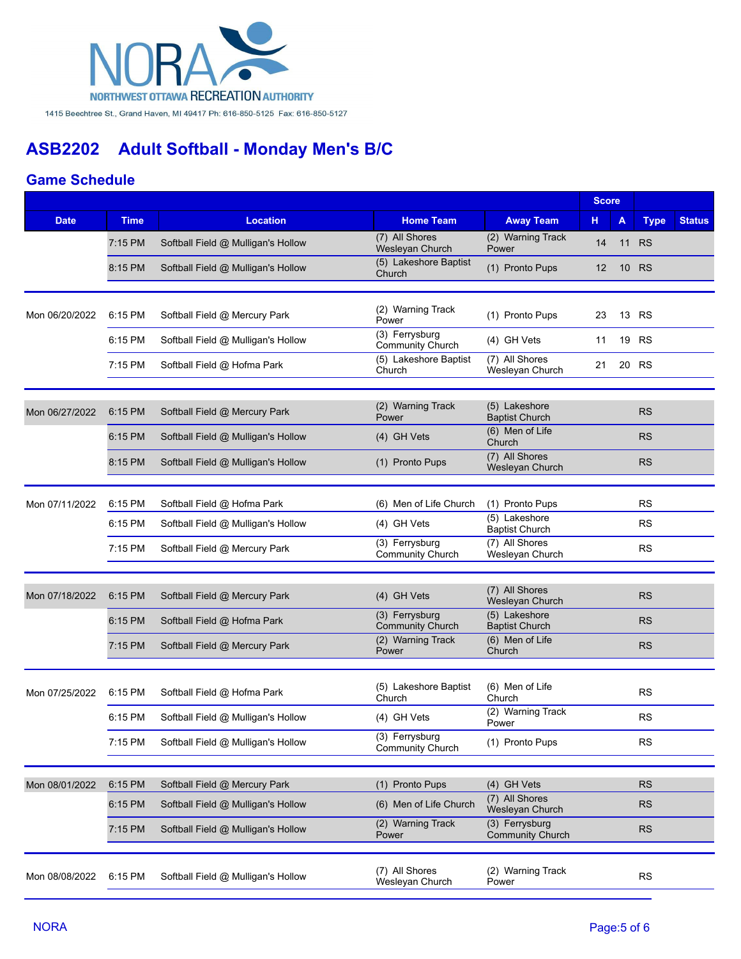

### **Game Schedule**

|                |             |                                    |                                           | <b>Score</b>                              |    |    |             |               |
|----------------|-------------|------------------------------------|-------------------------------------------|-------------------------------------------|----|----|-------------|---------------|
| <b>Date</b>    | <b>Time</b> | <b>Location</b>                    | <b>Home Team</b>                          | <b>Away Team</b>                          | н  | A  | <b>Type</b> | <b>Status</b> |
|                | 7:15 PM     | Softball Field @ Mulligan's Hollow | (7) All Shores<br>Wesleyan Church         | (2) Warning Track<br>Power                | 14 |    | 11 RS       |               |
|                | 8:15 PM     | Softball Field @ Mulligan's Hollow | (5) Lakeshore Baptist<br>Church           | (1) Pronto Pups                           | 12 | 10 | <b>RS</b>   |               |
|                |             |                                    |                                           |                                           |    |    |             |               |
| Mon 06/20/2022 | 6:15 PM     | Softball Field @ Mercury Park      | (2) Warning Track<br>Power                | (1) Pronto Pups                           | 23 |    | 13 RS       |               |
|                | 6:15 PM     | Softball Field @ Mulligan's Hollow | (3) Ferrysburg<br>Community Church        | (4) GH Vets                               | 11 |    | 19 RS       |               |
|                | 7:15 PM     | Softball Field @ Hofma Park        | (5) Lakeshore Baptist<br>Church           | (7) All Shores<br>Wesleyan Church         | 21 |    | 20 RS       |               |
|                |             |                                    |                                           |                                           |    |    |             |               |
| Mon 06/27/2022 | 6:15 PM     | Softball Field @ Mercury Park      | (2) Warning Track<br>Power                | (5) Lakeshore<br><b>Baptist Church</b>    |    |    | <b>RS</b>   |               |
|                | 6:15 PM     | Softball Field @ Mulligan's Hollow | (4) GH Vets                               | (6) Men of Life<br>Church                 |    |    | <b>RS</b>   |               |
|                | 8:15 PM     | Softball Field @ Mulligan's Hollow | (1) Pronto Pups                           | (7) All Shores<br>Wesleyan Church         |    |    | <b>RS</b>   |               |
|                |             |                                    |                                           |                                           |    |    |             |               |
| Mon 07/11/2022 | 6:15 PM     | Softball Field @ Hofma Park        | (6) Men of Life Church                    | (1) Pronto Pups                           |    |    | <b>RS</b>   |               |
|                | 6:15 PM     | Softball Field @ Mulligan's Hollow | (4) GH Vets                               | (5) Lakeshore<br><b>Baptist Church</b>    |    |    | <b>RS</b>   |               |
|                | 7:15 PM     | Softball Field @ Mercury Park      | (3) Ferrysburg<br><b>Community Church</b> | (7) All Shores<br>Wesleyan Church         |    |    | <b>RS</b>   |               |
|                |             |                                    |                                           |                                           |    |    |             |               |
| Mon 07/18/2022 | 6:15 PM     | Softball Field @ Mercury Park      | (4) GH Vets                               | (7) All Shores<br>Wesleyan Church         |    |    | <b>RS</b>   |               |
|                | 6:15 PM     | Softball Field @ Hofma Park        | (3) Ferrysburg<br><b>Community Church</b> | (5) Lakeshore<br><b>Baptist Church</b>    |    |    | <b>RS</b>   |               |
|                | 7:15 PM     | Softball Field @ Mercury Park      | (2) Warning Track<br>Power                | (6) Men of Life<br>Church                 |    |    | <b>RS</b>   |               |
|                |             |                                    |                                           |                                           |    |    |             |               |
| Mon 07/25/2022 | 6:15 PM     | Softball Field @ Hofma Park        | (5) Lakeshore Baptist<br>Church           | (6) Men of Life<br>Church                 |    |    | <b>RS</b>   |               |
|                | 6:15 PM     | Softball Field @ Mulligan's Hollow | (4) GH Vets                               | (2) Warning Track<br>Power                |    |    | <b>RS</b>   |               |
|                | 7:15 PM     | Softball Field @ Mulligan's Hollow | (3) Ferrysburg<br><b>Community Church</b> | (1) Pronto Pups                           |    |    | <b>RS</b>   |               |
|                |             |                                    |                                           |                                           |    |    |             |               |
| Mon 08/01/2022 | 6:15 PM     | Softball Field @ Mercury Park      | (1) Pronto Pups                           | (4) GH Vets                               |    |    | <b>RS</b>   |               |
|                | 6:15 PM     | Softball Field @ Mulligan's Hollow | (6) Men of Life Church                    | (7) All Shores<br>Wesleyan Church         |    |    | <b>RS</b>   |               |
|                | 7:15 PM     | Softball Field @ Mulligan's Hollow | (2) Warning Track<br>Power                | (3) Ferrysburg<br><b>Community Church</b> |    |    | <b>RS</b>   |               |
|                |             |                                    |                                           |                                           |    |    |             |               |
| Mon 08/08/2022 | 6:15 PM     | Softball Field @ Mulligan's Hollow | (7) All Shores<br>Wesleyan Church         | (2) Warning Track<br>Power                |    |    | <b>RS</b>   |               |
|                |             |                                    |                                           |                                           |    |    |             |               |